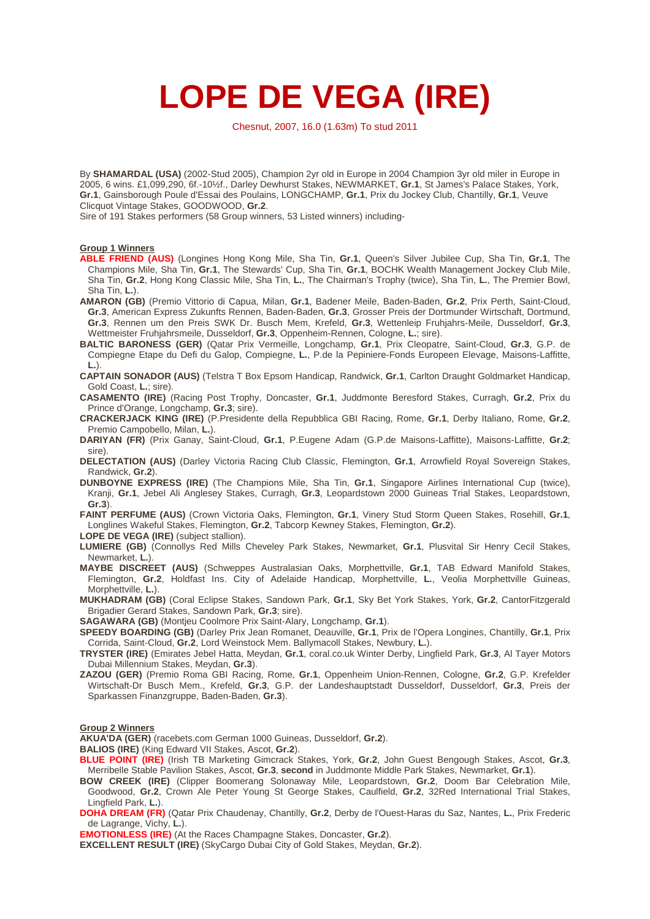# **LOPE DE VEGA (IRE)**

Chesnut, 2007, 16.0 (1.63m) To stud 2011

By **SHAMARDAL (USA)** (2002-Stud 2005), Champion 2yr old in Europe in 2004 Champion 3yr old miler in Europe in 2005, 6 wins. £1,099,290, 6f.-10½f., Darley Dewhurst Stakes, NEWMARKET, **Gr.1**, St James's Palace Stakes, York, **Gr.1**, Gainsborough Poule d'Essai des Poulains, LONGCHAMP, **Gr.1**, Prix du Jockey Club, Chantilly, **Gr.1**, Veuve Clicquot Vintage Stakes, GOODWOOD, **Gr.2**.

Sire of 191 Stakes performers (58 Group winners, 53 Listed winners) including-

## **Group 1 Winners**

**ABLE FRIEND (AUS)** (Longines Hong Kong Mile, Sha Tin, **Gr.1**, Queen's Silver Jubilee Cup, Sha Tin, **Gr.1**, The Champions Mile, Sha Tin, **Gr.1**, The Stewards' Cup, Sha Tin, **Gr.1**, BOCHK Wealth Management Jockey Club Mile, Sha Tin, **Gr.2**, Hong Kong Classic Mile, Sha Tin, **L.**, The Chairman's Trophy (twice), Sha Tin, **L.**, The Premier Bowl, Sha Tin, **L.**).

**AMARON (GB)** (Premio Vittorio di Capua, Milan, **Gr.1**, Badener Meile, Baden-Baden, **Gr.2**, Prix Perth, Saint-Cloud, **Gr.3**, American Express Zukunfts Rennen, Baden-Baden, **Gr.3**, Grosser Preis der Dortmunder Wirtschaft, Dortmund, **Gr.3**, Rennen um den Preis SWK Dr. Busch Mem, Krefeld, **Gr.3**, Wettenleip Fruhjahrs-Meile, Dusseldorf, **Gr.3**, Wettmeister Fruhjahrsmeile, Dusseldorf, **Gr.3**, Oppenheim-Rennen, Cologne, **L.**; sire).

**BALTIC BARONESS (GER)** (Qatar Prix Vermeille, Longchamp, **Gr.1**, Prix Cleopatre, Saint-Cloud, **Gr.3**, G.P. de Compiegne Etape du Defi du Galop, Compiegne, **L.**, [P.de](http://P.de) la Pepiniere-Fonds Europeen Elevage, Maisons-Laffitte, **L.**).

**CAPTAIN SONADOR (AUS)** (Telstra T Box Epsom Handicap, Randwick, **Gr.1**, Carlton Draught Goldmarket Handicap, Gold Coast, **L.**; sire).

**CASAMENTO (IRE)** (Racing Post Trophy, Doncaster, **Gr.1**, Juddmonte Beresford Stakes, Curragh, **Gr.2**, Prix du Prince d'Orange, Longchamp, **Gr.3**; sire).

**CRACKERJACK KING (IRE)** (P.Presidente della Repubblica GBI Racing, Rome, **Gr.1**, Derby Italiano, Rome, **Gr.2**, Premio Campobello, Milan, **L.**).

**DARIYAN (FR)** (Prix Ganay, Saint-Cloud, **Gr.1**, P.Eugene Ada[m \(G.P.d](http://(G.P.de)e Maisons-Laffitte), Maisons-Laffitte, **Gr.2**; sire).

**DELECTATION (AUS)** (Darley Victoria Racing Club Classic, Flemington, **Gr.1**, Arrowfield Royal Sovereign Stakes, Randwick, **Gr.2**).

**DUNBOYNE EXPRESS (IRE)** (The Champions Mile, Sha Tin, **Gr.1**, Singapore Airlines International Cup (twice), Kranji, **Gr.1**, Jebel Ali Anglesey Stakes, Curragh, **Gr.3**, Leopardstown 2000 Guineas Trial Stakes, Leopardstown, **Gr.3**).

**FAINT PERFUME (AUS)** (Crown Victoria Oaks, Flemington, **Gr.1**, Vinery Stud Storm Queen Stakes, Rosehill, **Gr.1**, Longlines Wakeful Stakes, Flemington, **Gr.2**, Tabcorp Kewney Stakes, Flemington, **Gr.2**).

**LOPE DE VEGA (IRE)** (subject stallion).

**LUMIERE (GB)** (Connollys Red Mills Cheveley Park Stakes, Newmarket, **Gr.1**, Plusvital Sir Henry Cecil Stakes, Newmarket, **L.**).

**MAYBE DISCREET (AUS)** (Schweppes Australasian Oaks, Morphettville, **Gr.1**, TAB Edward Manifold Stakes, Flemington, **Gr.2**, Holdfast Ins. City of Adelaide Handicap, Morphettville, **L.**, Veolia Morphettville Guineas, Morphettville, **L.**).

**MUKHADRAM (GB)** (Coral Eclipse Stakes, Sandown Park, **Gr.1**, Sky Bet York Stakes, York, **Gr.2**, CantorFitzgerald Brigadier Gerard Stakes, Sandown Park, **Gr.3**; sire).

**SAGAWARA (GB)** (Montjeu Coolmore Prix Saint-Alary, Longchamp, **Gr.1**).

**SPEEDY BOARDING (GB)** (Darley Prix Jean Romanet, Deauville, **Gr.1**, Prix de l'Opera Longines, Chantilly, **Gr.1**, Prix Corrida, Saint-Cloud, **Gr.2**, Lord Weinstock Mem. Ballymacoll Stakes, Newbury, **L.**).

**TRYSTER (IRE)** (Emirates Jebel Hatta, Meydan, **Gr.1**, [coral.co.uk](http://coral.co.uk) Winter Derby, Lingfield Park, **Gr.3**, Al Tayer Motors Dubai Millennium Stakes, Meydan, **Gr.3**).

**ZAZOU (GER)** (Premio Roma GBI Racing, Rome, **Gr.1**, Oppenheim Union-Rennen, Cologne, **Gr.2**, G.P. Krefelder Wirtschaft-Dr Busch Mem., Krefeld, **Gr.3**, G.P. der Landeshauptstadt Dusseldorf, Dusseldorf, **Gr.3**, Preis der Sparkassen Finanzgruppe, Baden-Baden, **Gr.3**).

### **Group 2 Winners**

**AKUA'DA (GER)** [\(racebets.com](http://(racebets.com) German 1000 Guineas, Dusseldorf, **Gr.2**).

**BALIOS (IRE)** (King Edward VII Stakes, Ascot, **Gr.2**).

**BLUE POINT (IRE)** (Irish TB Marketing Gimcrack Stakes, York, **Gr.2**, John Guest Bengough Stakes, Ascot, **Gr.3**, Merribelle Stable Pavilion Stakes, Ascot, **Gr.3**, **second** in Juddmonte Middle Park Stakes, Newmarket, **Gr.1**).

**BOW CREEK (IRE)** (Clipper Boomerang Solonaway Mile, Leopardstown, **Gr.2**, Doom Bar Celebration Mile, Goodwood, **Gr.2**, Crown Ale Peter Young St George Stakes, Caulfield, **Gr.2**, 32Red International Trial Stakes, Lingfield Park, **L.**).

**DOHA DREAM (FR)** (Qatar Prix Chaudenay, Chantilly, **Gr.2**, Derby de l'Ouest-Haras du Saz, Nantes, **L.**, Prix Frederic de Lagrange, Vichy, **L.**).

**EMOTIONLESS (IRE)** (At the Races Champagne Stakes, Doncaster, **Gr.2**).

**EXCELLENT RESULT (IRE)** (SkyCargo Dubai City of Gold Stakes, Meydan, **Gr.2**).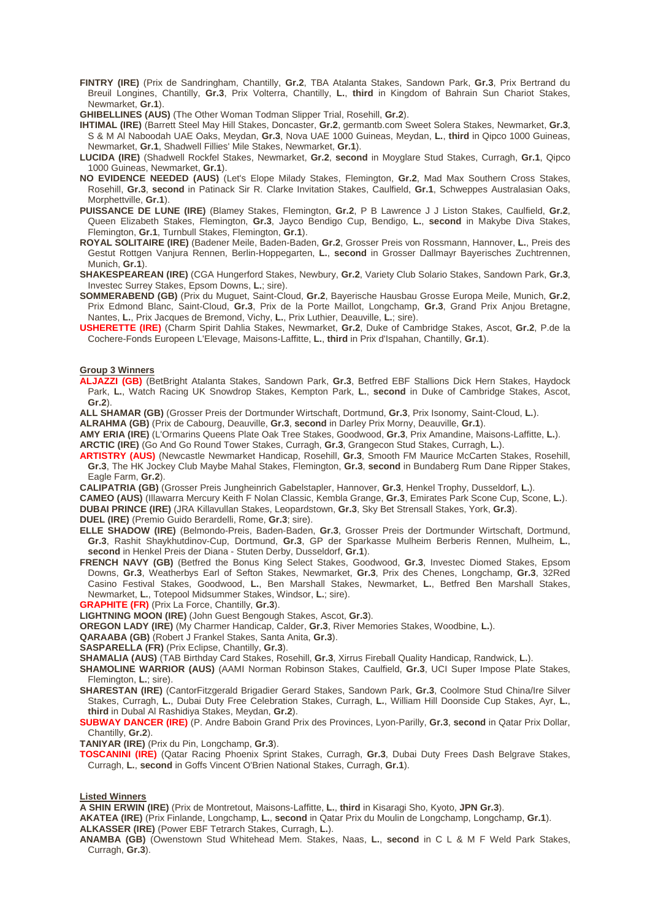**FINTRY (IRE)** (Prix de Sandringham, Chantilly, **Gr.2**, TBA Atalanta Stakes, Sandown Park, **Gr.3**, Prix Bertrand du Breuil Longines, Chantilly, **Gr.3**, Prix Volterra, Chantilly, **L.**, **third** in Kingdom of Bahrain Sun Chariot Stakes, Newmarket, **Gr.1**).

**GHIBELLINES (AUS)** (The Other Woman Todman Slipper Trial, Rosehill, **Gr.2**).

- **IHTIMAL (IRE)** (Barrett Steel May Hill Stakes, Doncaster, **Gr.2**, [germantb.com](http://germantb.com) Sweet Solera Stakes, Newmarket, **Gr.3**, S & M Al Naboodah UAE Oaks, Meydan, **Gr.3**, Nova UAE 1000 Guineas, Meydan, **L.**, **third** in Qipco 1000 Guineas, Newmarket, **Gr.1**, Shadwell Fillies' Mile Stakes, Newmarket, **Gr.1**).
- **LUCIDA (IRE)** (Shadwell Rockfel Stakes, Newmarket, **Gr.2**, **second** in Moyglare Stud Stakes, Curragh, **Gr.1**, Qipco 1000 Guineas, Newmarket, **Gr.1**).
- **NO EVIDENCE NEEDED (AUS)** (Let's Elope Milady Stakes, Flemington, **Gr.2**, Mad Max Southern Cross Stakes, Rosehill, **Gr.3**, **second** in Patinack Sir R. Clarke Invitation Stakes, Caulfield, **Gr.1**, Schweppes Australasian Oaks, Morphettville, **Gr.1**).
- **PUISSANCE DE LUNE (IRE)** (Blamey Stakes, Flemington, **Gr.2**, P B Lawrence J J Liston Stakes, Caulfield, **Gr.2**, Queen Elizabeth Stakes, Flemington, **Gr.3**, Jayco Bendigo Cup, Bendigo, **L.**, **second** in Makybe Diva Stakes, Flemington, **Gr.1**, Turnbull Stakes, Flemington, **Gr.1**).
- **ROYAL SOLITAIRE (IRE)** (Badener Meile, Baden-Baden, **Gr.2**, Grosser Preis von Rossmann, Hannover, **L.**, Preis des Gestut Rottgen Vanjura Rennen, Berlin-Hoppegarten, **L.**, **second** in Grosser Dallmayr Bayerisches Zuchtrennen, Munich, **Gr.1**).
- **SHAKESPEAREAN (IRE)** (CGA Hungerford Stakes, Newbury, **Gr.2**, Variety Club Solario Stakes, Sandown Park, **Gr.3**, Investec Surrey Stakes, Epsom Downs, **L.**; sire).
- **SOMMERABEND (GB)** (Prix du Muguet, Saint-Cloud, **Gr.2**, Bayerische Hausbau Grosse Europa Meile, Munich, **Gr.2**, Prix Edmond Blanc, Saint-Cloud, **Gr.3**, Prix de la Porte Maillot, Longchamp, **Gr.3**, Grand Prix Anjou Bretagne, Nantes, **L.**, Prix Jacques de Bremond, Vichy, **L.**, Prix Luthier, Deauville, **L.**; sire).
- **USHERETTE (IRE)** (Charm Spirit Dahlia Stakes, Newmarket, **Gr.2**, Duke of Cambridge Stakes, Ascot, **Gr.2**, [P.de](http://P.de) la Cochere-Fonds Europeen L'Elevage, Maisons-Laffitte, **L.**, **third** in Prix d'Ispahan, Chantilly, **Gr.1**).

#### **Group 3 Winners**

**ALJAZZI (GB)** (BetBright Atalanta Stakes, Sandown Park, **Gr.3**, Betfred EBF Stallions Dick Hern Stakes, Haydock Park, **L.**, Watch Racing UK Snowdrop Stakes, Kempton Park, **L.**, **second** in Duke of Cambridge Stakes, Ascot, **Gr.2**).

**ALL SHAMAR (GB)** (Grosser Preis der Dortmunder Wirtschaft, Dortmund, **Gr.3**, Prix Isonomy, Saint-Cloud, **L.**).

**ALRAHMA (GB)** (Prix de Cabourg, Deauville, **Gr.3**, **second** in Darley Prix Morny, Deauville, **Gr.1**).

**AMY ERIA (IRE)** (L'Ormarins Queens Plate Oak Tree Stakes, Goodwood, **Gr.3**, Prix Amandine, Maisons-Laffitte, **L.**).

**ARCTIC (IRE)** (Go And Go Round Tower Stakes, Curragh, **Gr.3**, Grangecon Stud Stakes, Curragh, **L.**).

- **ARTISTRY (AUS)** (Newcastle Newmarket Handicap, Rosehill, **Gr.3**, Smooth FM Maurice McCarten Stakes, Rosehill, **Gr.3**, The HK Jockey Club Maybe Mahal Stakes, Flemington, **Gr.3**, **second** in Bundaberg Rum Dane Ripper Stakes, Eagle Farm, **Gr.2**).
- **CALIPATRIA (GB)** (Grosser Preis Jungheinrich Gabelstapler, Hannover, **Gr.3**, Henkel Trophy, Dusseldorf, **L.**).

**CAMEO (AUS)** (Illawarra Mercury Keith F Nolan Classic, Kembla Grange, **Gr.3**, Emirates Park Scone Cup, Scone, **L.**).

**DUBAI PRINCE (IRE)** (JRA Killavullan Stakes, Leopardstown, **Gr.3**, Sky Bet Strensall Stakes, York, **Gr.3**).

**DUEL (IRE)** (Premio Guido Berardelli, Rome, **Gr.3**; sire).

- **ELLE SHADOW (IRE)** (Belmondo-Preis, Baden-Baden, **Gr.3**, Grosser Preis der Dortmunder Wirtschaft, Dortmund, **Gr.3**, Rashit Shaykhutdinov-Cup, Dortmund, **Gr.3**, GP der Sparkasse Mulheim Berberis Rennen, Mulheim, **L.**, **second** in Henkel Preis der Diana - Stuten Derby, Dusseldorf, **Gr.1**).
- **FRENCH NAVY (GB)** (Betfred the Bonus King Select Stakes, Goodwood, **Gr.3**, Investec Diomed Stakes, Epsom Downs, **Gr.3**, Weatherbys Earl of Sefton Stakes, Newmarket, **Gr.3**, Prix des Chenes, Longchamp, **Gr.3**, 32Red Casino Festival Stakes, Goodwood, **L.**, Ben Marshall Stakes, Newmarket, **L.**, Betfred Ben Marshall Stakes, Newmarket, **L.**, Totepool Midsummer Stakes, Windsor, **L.**; sire).

**GRAPHITE (FR)** (Prix La Force, Chantilly, **Gr.3**).

**LIGHTNING MOON (IRE)** (John Guest Bengough Stakes, Ascot, **Gr.3**).

**OREGON LADY (IRE)** (My Charmer Handicap, Calder, **Gr.3**, River Memories Stakes, Woodbine, **L.**).

**QARAABA (GB)** (Robert J Frankel Stakes, Santa Anita, **Gr.3**).

**SASPARELLA (FR)** (Prix Eclipse, Chantilly, **Gr.3**).

**SHAMALIA (AUS)** (TAB Birthday Card Stakes, Rosehill, **Gr.3**, Xirrus Fireball Quality Handicap, Randwick, **L.**).

- **SHAMOLINE WARRIOR (AUS)** (AAMI Norman Robinson Stakes, Caulfield, **Gr.3**, UCI Super Impose Plate Stakes, Flemington, **L.**; sire).
- **SHARESTAN (IRE)** (CantorFitzgerald Brigadier Gerard Stakes, Sandown Park, **Gr.3**, Coolmore Stud China/Ire Silver Stakes, Curragh, **L.**, Dubai Duty Free Celebration Stakes, Curragh, **L.**, William Hill Doonside Cup Stakes, Ayr, **L.**, **third** in Dubal Al Rashidiya Stakes, Meydan, **Gr.2**).
- **SUBWAY DANCER (IRE)** (P. Andre Baboin Grand Prix des Provinces, Lyon-Parilly, **Gr.3**, **second** in Qatar Prix Dollar, Chantilly, **Gr.2**).

**TANIYAR (IRE)** (Prix du Pin, Longchamp, **Gr.3**).

**TOSCANINI (IRE)** (Qatar Racing Phoenix Sprint Stakes, Curragh, **Gr.3**, Dubai Duty Frees Dash Belgrave Stakes, Curragh, **L.**, **second** in Goffs Vincent O'Brien National Stakes, Curragh, **Gr.1**).

#### **Listed Winners**

**A SHIN ERWIN (IRE)** (Prix de Montretout, Maisons-Laffitte, **L.**, **third** in Kisaragi Sho, Kyoto, **JPN Gr.3**).

**AKATEA (IRE)** (Prix Finlande, Longchamp, **L.**, **second** in Qatar Prix du Moulin de Longchamp, Longchamp, **Gr.1**).

**ALKASSER (IRE)** (Power EBF Tetrarch Stakes, Curragh, **L.**).

**ANAMBA (GB)** (Owenstown Stud Whitehead Mem. Stakes, Naas, **L.**, **second** in C L & M F Weld Park Stakes, Curragh, **Gr.3**).